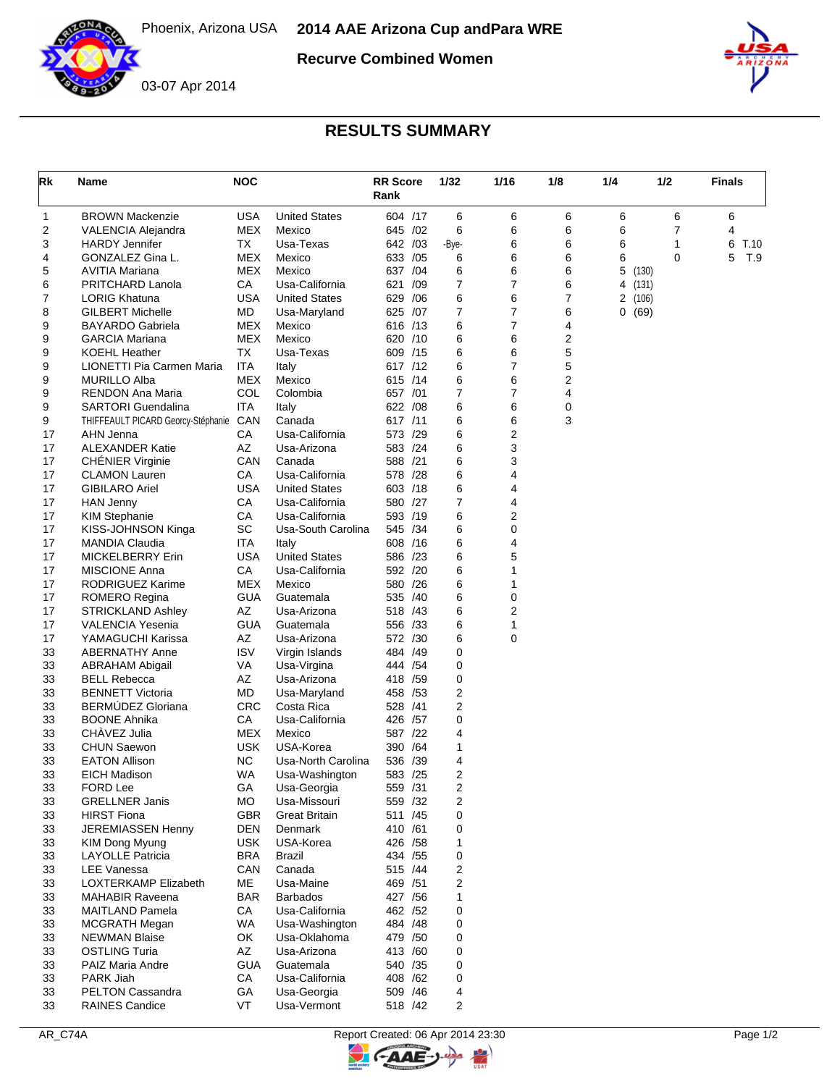

**Recurve Combined Women**





## **RESULTS SUMMARY**

| Rk       | Name                                          | <b>NOC</b>         |                                        | <b>RR Score</b><br>Rank  | 1/32  | 1/16                | 1/8    | 1/4            | 1/2              | Finals    |
|----------|-----------------------------------------------|--------------------|----------------------------------------|--------------------------|-------|---------------------|--------|----------------|------------------|-----------|
| 1        | <b>BROWN Mackenzie</b>                        | <b>USA</b>         | <b>United States</b>                   | 604 /17                  |       | 6<br>6              | 6      | 6              | 6                | 6         |
| 2        | VALENCIA Alejandra                            | MEX                | Mexico                                 | 645 /02                  |       | 6<br>6              | 6      | 6              | 7                | 4         |
| 3        | <b>HARDY Jennifer</b>                         | TX                 | Usa-Texas                              | 642 /03                  | -Bye- | 6                   | 6      | 6              | 1                | 6<br>T.10 |
| 4        | GONZALEZ Gina L.                              | MEX                | Mexico                                 | 633<br>/05               | 6     | 6                   | 6      | 6              | 0                | 5<br>T.9  |
| 5        | AVITIA Mariana                                | <b>MEX</b>         | Mexico                                 | 637 /04                  |       | 6<br>6<br>7<br>7    | 6      | 5              | (130)            |           |
| 6<br>7   | PRITCHARD Lanola<br><b>LORIG Khatuna</b>      | СA<br><b>USA</b>   | Usa-California<br><b>United States</b> | 621<br>/09<br>629<br>/06 |       | 6<br>6              | 6<br>7 | $\overline{2}$ | 4 (131)<br>(106) |           |
| 8        | <b>GILBERT Michelle</b>                       | MD                 | Usa-Maryland                           | 625 /07                  |       | 7<br>7              | 6      |                | 0(69)            |           |
| 9        | BAYARDO Gabriela                              | <b>MEX</b>         | Mexico                                 | 616 /13                  |       | 7<br>6              | 4      |                |                  |           |
| 9        | <b>GARCIA Mariana</b>                         | <b>MEX</b>         | Mexico                                 | 620 /10                  |       | 6<br>6              | 2      |                |                  |           |
| 9        | <b>KOEHL Heather</b>                          | TX                 | Usa-Texas                              | 609 /15                  |       | 6<br>6              | 5      |                |                  |           |
| 9        | LIONETTI Pia Carmen Maria                     | <b>ITA</b>         | Italy                                  | 617 /12                  |       | 7<br>6              | 5      |                |                  |           |
| 9        | <b>MURILLO Alba</b>                           | <b>MEX</b>         | Mexico                                 | 615 /14                  |       | 6<br>6              | 2      |                |                  |           |
| 9        | RENDON Ana Maria                              | COL                | Colombia                               | 657 /01                  |       | $\overline{7}$<br>7 | 4      |                |                  |           |
| 9        | <b>SARTORI Guendalina</b>                     | <b>ITA</b>         | Italy                                  | 622 / 08                 |       | 6<br>6              | 0      |                |                  |           |
| 9        | THIFFEAULT PICARD Georcy-Stéphanie            | CAN                | Canada                                 | 617 /11                  |       | 6<br>6              | 3      |                |                  |           |
| 17       | AHN Jenna                                     | CA                 | Usa-California                         | 573 /29                  |       | 6<br>2              |        |                |                  |           |
| 17       | <b>ALEXANDER Katie</b>                        | AZ<br>CAN          | Usa-Arizona<br>Canada                  | 583 /24                  |       | 3<br>6              |        |                |                  |           |
| 17<br>17 | <b>CHENIER Virginie</b>                       | CA                 | Usa-California                         | 588 /21<br>578 /28       |       | 6<br>3<br>6<br>4    |        |                |                  |           |
| 17       | <b>CLAMON Lauren</b><br><b>GIBILARO Ariel</b> | USA                | <b>United States</b>                   | 603 /18                  |       | 6<br>4              |        |                |                  |           |
| 17       | <b>HAN Jenny</b>                              | CA                 | Usa-California                         | 580 /27                  |       | 7<br>4              |        |                |                  |           |
| 17       | <b>KIM Stephanie</b>                          | СA                 | Usa-California                         | 593 /19                  |       | 6<br>2              |        |                |                  |           |
| 17       | KISS-JOHNSON Kinga                            | <b>SC</b>          | Usa-South Carolina                     | 545 /34                  |       | 0<br>6              |        |                |                  |           |
| 17       | <b>MANDIA Claudia</b>                         | ITA                | Italy                                  | 608 /16                  |       | 6<br>4              |        |                |                  |           |
| 17       | <b>MICKELBERRY Erin</b>                       | <b>USA</b>         | <b>United States</b>                   | 586 /23                  |       | 5<br>6              |        |                |                  |           |
| 17       | <b>MISCIONE Anna</b>                          | CA                 | Usa-California                         | 592 /20                  |       | 6<br>1              |        |                |                  |           |
| 17       | RODRIGUEZ Karime                              | <b>MEX</b>         | Mexico                                 | 580 /26                  |       | 6<br>1              |        |                |                  |           |
| 17       | ROMERO Regina                                 | <b>GUA</b>         | Guatemala                              | 535<br>/40               |       | 6<br>0              |        |                |                  |           |
| 17       | <b>STRICKLAND Ashley</b>                      | AZ                 | Usa-Arizona                            | 518<br>/43               |       | 6<br>2              |        |                |                  |           |
| 17       | <b>VALENCIA Yesenia</b>                       | <b>GUA</b>         | Guatemala                              | 556 /33                  |       | 6<br>1              |        |                |                  |           |
| 17       | YAMAGUCHI Karissa                             | AZ                 | Usa-Arizona                            | 572 /30                  |       | 6<br>0              |        |                |                  |           |
| 33       | <b>ABERNATHY Anne</b>                         | <b>ISV</b>         | Virgin Islands                         | 484 /49<br>444 / 54      |       | 0<br>0              |        |                |                  |           |
| 33<br>33 | <b>ABRAHAM Abigail</b><br><b>BELL Rebecca</b> | VA<br>AZ           | Usa-Virgina<br>Usa-Arizona             | 418 /59                  |       | 0                   |        |                |                  |           |
| 33       | <b>BENNETT Victoria</b>                       | MD                 | Usa-Maryland                           | /53<br>458               |       | 2                   |        |                |                  |           |
| 33       | <b>BERMUDEZ Gloriana</b>                      | <b>CRC</b>         | Costa Rica                             | 528 /41                  |       | 2                   |        |                |                  |           |
| 33       | <b>BOONE Ahnika</b>                           | CA                 | Usa-California                         | 426<br>/57               |       | 0                   |        |                |                  |           |
| 33       | CHÀVEZ Julia                                  | MEX                | Mexico                                 | 587 /22                  |       | 4                   |        |                |                  |           |
| 33       | <b>CHUN Saewon</b>                            | <b>USK</b>         | USA-Korea                              | /64<br>390               |       | 1                   |        |                |                  |           |
| 33       | <b>EATON Allison</b>                          | NC.                | Usa-North Carolina                     | /39<br>536               |       | 4                   |        |                |                  |           |
| 33       | EICH Madison                                  | WA                 | Usa-Washington                         | 583 /25                  |       | 2                   |        |                |                  |           |
| 33       | <b>FORD Lee</b>                               | GА                 | Usa-Georgia                            | 559 /31                  |       | 2                   |        |                |                  |           |
| 33       | <b>GRELLNER Janis</b>                         | МO                 | Usa-Missouri                           | 559 /32                  |       | 2                   |        |                |                  |           |
| 33       | <b>HIRST Fiona</b>                            | <b>GBR</b>         | <b>Great Britain</b>                   | 511 /45                  |       | 0                   |        |                |                  |           |
| 33       | <b>JEREMIASSEN Henny</b>                      | DEN                | <b>Denmark</b>                         | 410 /61                  |       | 0                   |        |                |                  |           |
| 33<br>33 | KIM Dong Myung<br><b>LAYOLLE Patricia</b>     | USK.<br><b>BRA</b> | USA-Korea<br><b>Brazil</b>             | 426 /58<br>434 / 55      |       | 1<br>0              |        |                |                  |           |
| 33       | <b>LEE Vanessa</b>                            | CAN                | Canada                                 | 515 /44                  |       | 2                   |        |                |                  |           |
| 33       | LOXTERKAMP Elizabeth                          | МE                 | Usa-Maine                              | 469 / 51                 |       | 2                   |        |                |                  |           |
| 33       | <b>MAHABIR Raveena</b>                        | <b>BAR</b>         | <b>Barbados</b>                        | 427 / 56                 |       | 1                   |        |                |                  |           |
| 33       | MAITLAND Pamela                               | CA                 | Usa-California                         | 462 /52                  |       | 0                   |        |                |                  |           |
| 33       | MCGRATH Megan                                 | WA                 | Usa-Washington                         | 484 / 48                 |       | 0                   |        |                |                  |           |
| 33       | <b>NEWMAN Blaise</b>                          | OK                 | Usa-Oklahoma                           | 479 /50                  |       | 0                   |        |                |                  |           |
| 33       | <b>OSTLING Turia</b>                          | AZ                 | Usa-Arizona                            | 413 /60                  |       | 0                   |        |                |                  |           |
| 33       | PAIZ Maria Andre                              | <b>GUA</b>         | Guatemala                              | 540 /35                  |       | 0                   |        |                |                  |           |
| 33       | PARK Jiah                                     | CA                 | Usa-California                         | 408 /62                  |       | 0                   |        |                |                  |           |
| 33       | PELTON Cassandra                              | GA                 | Usa-Georgia                            | 509 /46                  |       | 4                   |        |                |                  |           |
| 33       | <b>RAINES Candice</b>                         | VT                 | Usa-Vermont                            | 518 /42                  |       | 2                   |        |                |                  |           |